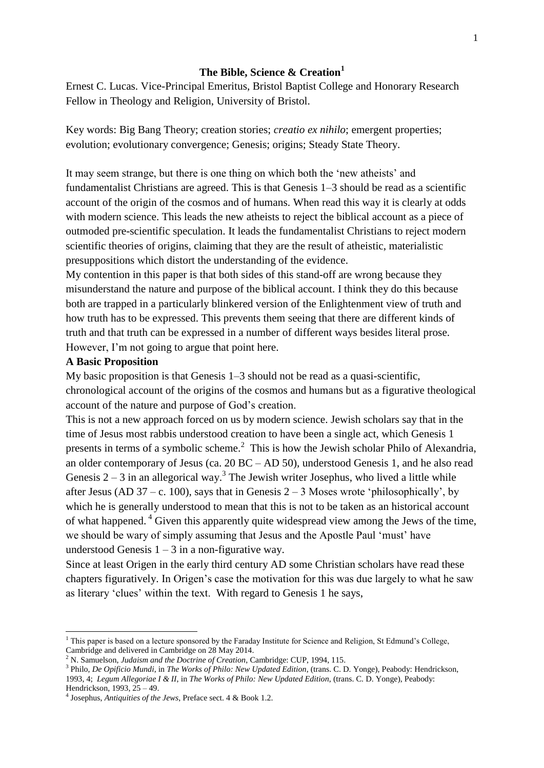## **The Bible, Science & Creation<sup>1</sup>**

Ernest C. Lucas. Vice-Principal Emeritus, Bristol Baptist College and Honorary Research Fellow in Theology and Religion, University of Bristol.

Key words: Big Bang Theory; creation stories; *creatio ex nihilo*; emergent properties; evolution; evolutionary convergence; Genesis; origins; Steady State Theory.

It may seem strange, but there is one thing on which both the "new atheists" and fundamentalist Christians are agreed. This is that Genesis 1–3 should be read as a scientific account of the origin of the cosmos and of humans. When read this way it is clearly at odds with modern science. This leads the new atheists to reject the biblical account as a piece of outmoded pre-scientific speculation. It leads the fundamentalist Christians to reject modern scientific theories of origins, claiming that they are the result of atheistic, materialistic presuppositions which distort the understanding of the evidence.

My contention in this paper is that both sides of this stand-off are wrong because they misunderstand the nature and purpose of the biblical account. I think they do this because both are trapped in a particularly blinkered version of the Enlightenment view of truth and how truth has to be expressed. This prevents them seeing that there are different kinds of truth and that truth can be expressed in a number of different ways besides literal prose. However, I"m not going to argue that point here.

#### **A Basic Proposition**

1

My basic proposition is that Genesis 1–3 should not be read as a quasi-scientific, chronological account of the origins of the cosmos and humans but as a figurative theological account of the nature and purpose of God"s creation.

This is not a new approach forced on us by modern science. Jewish scholars say that in the time of Jesus most rabbis understood creation to have been a single act, which Genesis 1 presents in terms of a symbolic scheme. $<sup>2</sup>$  This is how the Jewish scholar Philo of Alexandria,</sup> an older contemporary of Jesus (ca. 20 BC – AD 50), understood Genesis 1, and he also read Genesis  $2-3$  in an allegorical way.<sup>3</sup> The Jewish writer Josephus, who lived a little while after Jesus (AD 37 – c. 100), says that in Genesis  $2 - 3$  Moses wrote 'philosophically', by which he is generally understood to mean that this is not to be taken as an historical account of what happened.<sup>4</sup> Given this apparently quite widespread view among the Jews of the time, we should be wary of simply assuming that Jesus and the Apostle Paul "must" have understood Genesis  $1 - 3$  in a non-figurative way.

Since at least Origen in the early third century AD some Christian scholars have read these chapters figuratively. In Origen"s case the motivation for this was due largely to what he saw as literary "clues" within the text. With regard to Genesis 1 he says,

 $1$  This paper is based on a lecture sponsored by the Faraday Institute for Science and Religion, St Edmund's College, Cambridge and delivered in Cambridge on 28 May 2014.

<sup>2</sup> N. Samuelson, *Judaism and the Doctrine of Creation*, Cambridge: CUP, 1994, 115.

<sup>3</sup> Philo, *De Opificio Mundi*, in *The Works of Philo: New Updated Edition*, (trans. C. D. Yonge), Peabody: Hendrickson, 1993, 4; *Legum Allegoriae I & II*, in *The Works of Philo: New Updated Edition*, (trans. C. D. Yonge), Peabody: Hendrickson, 1993, 25 – 49.

<sup>4</sup> Josephus, *Antiquities of the Jews*, Preface sect. 4 & Book 1.2.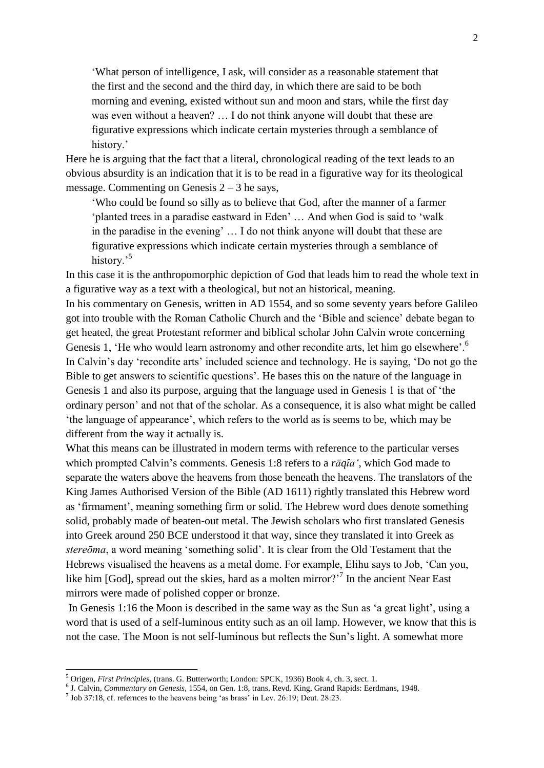"What person of intelligence, I ask, will consider as a reasonable statement that the first and the second and the third day, in which there are said to be both morning and evening, existed without sun and moon and stars, while the first day was even without a heaven? … I do not think anyone will doubt that these are figurative expressions which indicate certain mysteries through a semblance of history.'

Here he is arguing that the fact that a literal, chronological reading of the text leads to an obvious absurdity is an indication that it is to be read in a figurative way for its theological message. Commenting on Genesis  $2 - 3$  he says,

"Who could be found so silly as to believe that God, after the manner of a farmer "planted trees in a paradise eastward in Eden" … And when God is said to "walk in the paradise in the evening" … I do not think anyone will doubt that these are figurative expressions which indicate certain mysteries through a semblance of history.<sup>5</sup>

In this case it is the anthropomorphic depiction of God that leads him to read the whole text in a figurative way as a text with a theological, but not an historical, meaning.

In his commentary on Genesis, written in AD 1554, and so some seventy years before Galileo got into trouble with the Roman Catholic Church and the "Bible and science" debate began to get heated, the great Protestant reformer and biblical scholar John Calvin wrote concerning Genesis 1, 'He who would learn astronomy and other recondite arts, let him go elsewhere'.<sup>6</sup> In Calvin's day 'recondite arts' included science and technology. He is saying, 'Do not go the Bible to get answers to scientific questions". He bases this on the nature of the language in Genesis 1 and also its purpose, arguing that the language used in Genesis 1 is that of "the ordinary person" and not that of the scholar. As a consequence, it is also what might be called "the language of appearance", which refers to the world as is seems to be, which may be different from the way it actually is.

What this means can be illustrated in modern terms with reference to the particular verses which prompted Calvin's comments. Genesis 1:8 refers to a *rāqîa'*, which God made to separate the waters above the heavens from those beneath the heavens. The translators of the King James Authorised Version of the Bible (AD 1611) rightly translated this Hebrew word as 'firmament', meaning something firm or solid. The Hebrew word does denote something solid, probably made of beaten-out metal. The Jewish scholars who first translated Genesis into Greek around 250 BCE understood it that way, since they translated it into Greek as *stereōma*, a word meaning "something solid". It is clear from the Old Testament that the Hebrews visualised the heavens as a metal dome. For example, Elihu says to Job, "Can you, like him [God], spread out the skies, hard as a molten mirror?<sup>77</sup> In the ancient Near East mirrors were made of polished copper or bronze.

In Genesis 1:16 the Moon is described in the same way as the Sun as "a great light", using a word that is used of a self-luminous entity such as an oil lamp. However, we know that this is not the case. The Moon is not self-luminous but reflects the Sun"s light. A somewhat more

-

<sup>5</sup> Origen, *First Principles*, (trans. G. Butterworth; London: SPCK, 1936) Book 4, ch. 3, sect. 1.

<sup>6</sup> J. Calvin, *Commentary on Genesis,* 1554, on Gen. 1:8, trans. Revd. King, Grand Rapids: Eerdmans, 1948.

 $<sup>7</sup>$  Job 37:18, cf. refernces to the heavens being 'as brass' in Lev. 26:19; Deut. 28:23.</sup>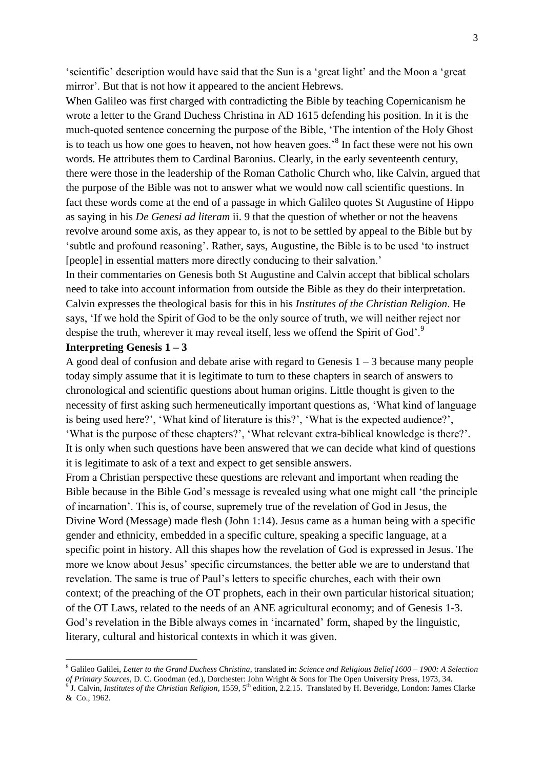"scientific" description would have said that the Sun is a "great light" and the Moon a "great mirror'. But that is not how it appeared to the ancient Hebrews.

When Galileo was first charged with contradicting the Bible by teaching Copernicanism he wrote a letter to the Grand Duchess Christina in AD 1615 defending his position. In it is the much-quoted sentence concerning the purpose of the Bible, "The intention of the Holy Ghost is to teach us how one goes to heaven, not how heaven goes.<sup>8</sup> In fact these were not his own words. He attributes them to Cardinal Baronius. Clearly, in the early seventeenth century, there were those in the leadership of the Roman Catholic Church who, like Calvin, argued that the purpose of the Bible was not to answer what we would now call scientific questions. In fact these words come at the end of a passage in which Galileo quotes St Augustine of Hippo as saying in his *De Genesi ad literam* ii. 9 that the question of whether or not the heavens revolve around some axis, as they appear to, is not to be settled by appeal to the Bible but by "subtle and profound reasoning". Rather, says, Augustine, the Bible is to be used "to instruct [people] in essential matters more directly conducing to their salvation."

In their commentaries on Genesis both St Augustine and Calvin accept that biblical scholars need to take into account information from outside the Bible as they do their interpretation. Calvin expresses the theological basis for this in his *Institutes of the Christian Religion*. He says, "If we hold the Spirit of God to be the only source of truth, we will neither reject nor despise the truth, wherever it may reveal itself, less we offend the Spirit of God'.<sup>9</sup>

## **Interpreting Genesis 1 – 3**

-

A good deal of confusion and debate arise with regard to Genesis  $1 - 3$  because many people today simply assume that it is legitimate to turn to these chapters in search of answers to chronological and scientific questions about human origins. Little thought is given to the necessity of first asking such hermeneutically important questions as, "What kind of language is being used here?", "What kind of literature is this?", "What is the expected audience?", "What is the purpose of these chapters?", "What relevant extra-biblical knowledge is there?". It is only when such questions have been answered that we can decide what kind of questions it is legitimate to ask of a text and expect to get sensible answers.

From a Christian perspective these questions are relevant and important when reading the Bible because in the Bible God"s message is revealed using what one might call "the principle of incarnation". This is, of course, supremely true of the revelation of God in Jesus, the Divine Word (Message) made flesh (John 1:14). Jesus came as a human being with a specific gender and ethnicity, embedded in a specific culture, speaking a specific language, at a specific point in history. All this shapes how the revelation of God is expressed in Jesus. The more we know about Jesus' specific circumstances, the better able we are to understand that revelation. The same is true of Paul"s letters to specific churches, each with their own context; of the preaching of the OT prophets, each in their own particular historical situation; of the OT Laws, related to the needs of an ANE agricultural economy; and of Genesis 1-3. God's revelation in the Bible always comes in 'incarnated' form, shaped by the linguistic, literary, cultural and historical contexts in which it was given.

<sup>8</sup> Galileo Galilei, *Letter to the Grand Duchess Christina*, translated in: *Science and Religious Belief 1600 – 1900: A Selection*  of Primary Sources, D. C. Goodman (ed.), Dorchester: John Wright & Sons for The Open University Press, 1973, 34.<br><sup>9</sup> J. Calvin, *Institutes of the Christian Religion*, 1559, 5<sup>th</sup> edition, 2.2.15. Translated by H. Beveridg & Co., 1962.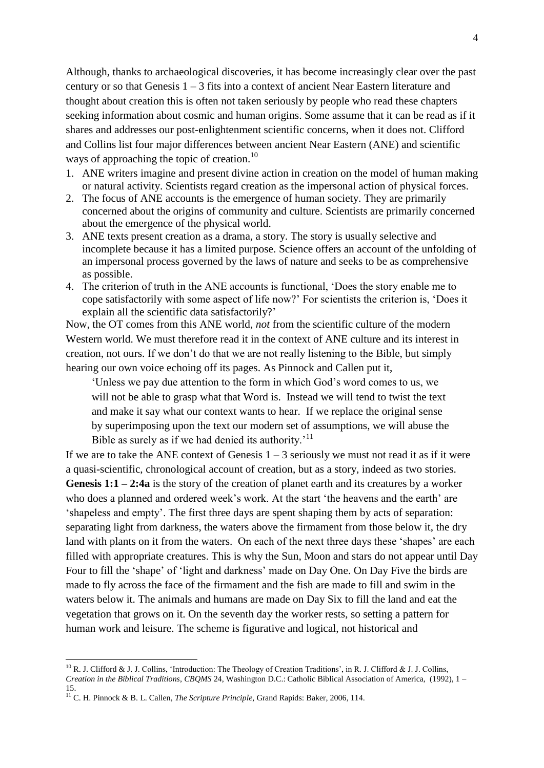Although, thanks to archaeological discoveries, it has become increasingly clear over the past century or so that Genesis 1 – 3 fits into a context of ancient Near Eastern literature and thought about creation this is often not taken seriously by people who read these chapters seeking information about cosmic and human origins. Some assume that it can be read as if it shares and addresses our post-enlightenment scientific concerns, when it does not. Clifford and Collins list four major differences between ancient Near Eastern (ANE) and scientific ways of approaching the topic of creation.<sup>10</sup>

- 1. ANE writers imagine and present divine action in creation on the model of human making or natural activity. Scientists regard creation as the impersonal action of physical forces.
- 2. The focus of ANE accounts is the emergence of human society. They are primarily concerned about the origins of community and culture. Scientists are primarily concerned about the emergence of the physical world.
- 3. ANE texts present creation as a drama, a story. The story is usually selective and incomplete because it has a limited purpose. Science offers an account of the unfolding of an impersonal process governed by the laws of nature and seeks to be as comprehensive as possible.
- 4. The criterion of truth in the ANE accounts is functional, "Does the story enable me to cope satisfactorily with some aspect of life now?" For scientists the criterion is, "Does it explain all the scientific data satisfactorily?"

Now, the OT comes from this ANE world, *not* from the scientific culture of the modern Western world. We must therefore read it in the context of ANE culture and its interest in creation, not ours. If we don"t do that we are not really listening to the Bible, but simply hearing our own voice echoing off its pages. As Pinnock and Callen put it,

"Unless we pay due attention to the form in which God"s word comes to us, we will not be able to grasp what that Word is. Instead we will tend to twist the text and make it say what our context wants to hear. If we replace the original sense by superimposing upon the text our modern set of assumptions, we will abuse the Bible as surely as if we had denied its authority.<sup>'11</sup>

If we are to take the ANE context of Genesis  $1 - 3$  seriously we must not read it as if it were a quasi-scientific, chronological account of creation, but as a story, indeed as two stories. **Genesis 1:1 – 2:4a** is the story of the creation of planet earth and its creatures by a worker who does a planned and ordered week's work. At the start 'the heavens and the earth' are "shapeless and empty". The first three days are spent shaping them by acts of separation: separating light from darkness, the waters above the firmament from those below it, the dry land with plants on it from the waters. On each of the next three days these 'shapes' are each filled with appropriate creatures. This is why the Sun, Moon and stars do not appear until Day Four to fill the 'shape' of 'light and darkness' made on Day One. On Day Five the birds are made to fly across the face of the firmament and the fish are made to fill and swim in the waters below it. The animals and humans are made on Day Six to fill the land and eat the vegetation that grows on it. On the seventh day the worker rests, so setting a pattern for human work and leisure. The scheme is figurative and logical, not historical and

-

<sup>&</sup>lt;sup>10</sup> R. J. Clifford & J. J. Collins, 'Introduction: The Theology of Creation Traditions', in R. J. Clifford & J. J. Collins, *Creation in the Biblical Traditions*, *CBQMS* 24, Washington D.C.: Catholic Biblical Association of America, (1992), 1 – 15.

<sup>11</sup> C. H. Pinnock & B. L. Callen, *The Scripture Principle*, Grand Rapids: Baker, 2006, 114.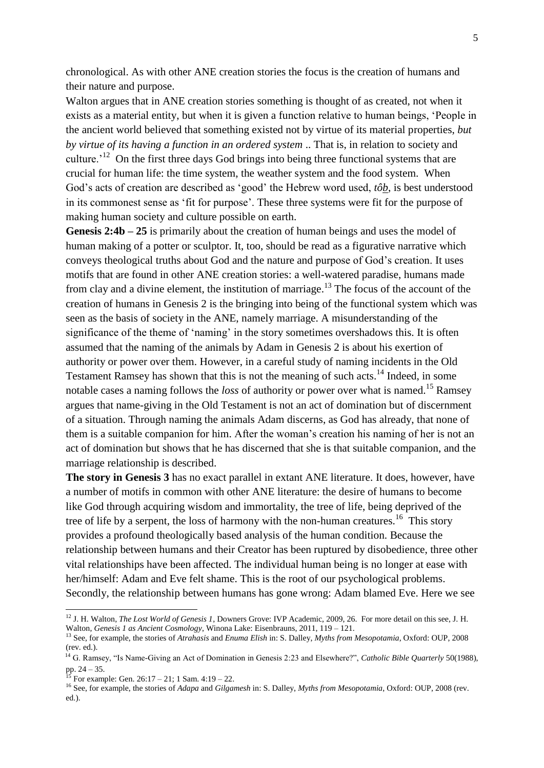chronological. As with other ANE creation stories the focus is the creation of humans and their nature and purpose.

Walton argues that in ANE creation stories something is thought of as created, not when it exists as a material entity, but when it is given a function relative to human beings, "People in the ancient world believed that something existed not by virtue of its material properties, *but by virtue of its having a function in an ordered system* .. That is, in relation to society and culture.<sup> $12$ </sup> On the first three days God brings into being three functional systems that are crucial for human life: the time system, the weather system and the food system. When God"s acts of creation are described as "good" the Hebrew word used, *tôb*, is best understood in its commonest sense as 'fit for purpose'. These three systems were fit for the purpose of making human society and culture possible on earth.

**Genesis 2:4b – 25** is primarily about the creation of human beings and uses the model of human making of a potter or sculptor. It, too, should be read as a figurative narrative which conveys theological truths about God and the nature and purpose of God"s creation. It uses motifs that are found in other ANE creation stories: a well-watered paradise, humans made from clay and a divine element, the institution of marriage.<sup>13</sup> The focus of the account of the creation of humans in Genesis 2 is the bringing into being of the functional system which was seen as the basis of society in the ANE, namely marriage. A misunderstanding of the significance of the theme of 'naming' in the story sometimes overshadows this. It is often assumed that the naming of the animals by Adam in Genesis 2 is about his exertion of authority or power over them. However, in a careful study of naming incidents in the Old Testament Ramsey has shown that this is not the meaning of such acts.<sup>14</sup> Indeed, in some notable cases a naming follows the *loss* of authority or power over what is named. <sup>15</sup> Ramsey argues that name-giving in the Old Testament is not an act of domination but of discernment of a situation. Through naming the animals Adam discerns, as God has already, that none of them is a suitable companion for him. After the woman"s creation his naming of her is not an act of domination but shows that he has discerned that she is that suitable companion, and the marriage relationship is described.

**The story in Genesis 3** has no exact parallel in extant ANE literature. It does, however, have a number of motifs in common with other ANE literature: the desire of humans to become like God through acquiring wisdom and immortality, the tree of life, being deprived of the tree of life by a serpent, the loss of harmony with the non-human creatures.<sup>16</sup> This story provides a profound theologically based analysis of the human condition. Because the relationship between humans and their Creator has been ruptured by disobedience, three other vital relationships have been affected. The individual human being is no longer at ease with her/himself: Adam and Eve felt shame. This is the root of our psychological problems. Secondly, the relationship between humans has gone wrong: Adam blamed Eve. Here we see

<sup>12</sup> J. H. Walton, *The Lost World of Genesis 1*, Downers Grove: IVP Academic, 2009, 26. For more detail on this see, J. H. Walton, *Genesis 1 as Ancient Cosmology*, Winona Lake: Eisenbrauns, 2011, 119 – 121.

<sup>13</sup> See, for example, the stories of *Atrahasis* and *Enuma Elish* in: S. Dalley, *Myths from Mesopotamia*, Oxford: OUP, 2008 (rev. ed.).

<sup>&</sup>lt;sup>14</sup> G. Ramsey, "Is Name-Giving an Act of Domination in Genesis 2:23 and Elsewhere?", *Catholic Bible Quarterly* 50(1988), pp.  $24 - 35$ .

For example: Gen.  $26:17 - 21$ ; 1 Sam.  $4:19 - 22$ .

<sup>16</sup> See, for example, the stories of *Adapa* and *Gilgamesh* in: S. Dalley, *Myths from Mesopotamia*, Oxford: OUP, 2008 (rev. ed.).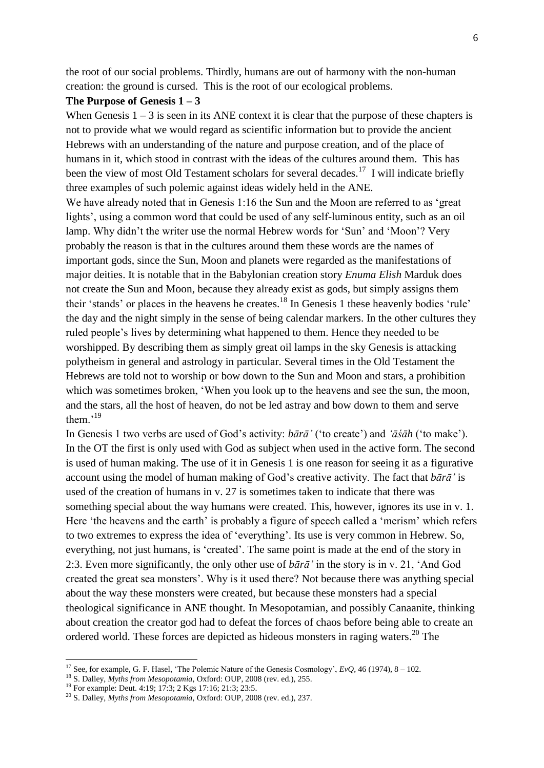the root of our social problems. Thirdly, humans are out of harmony with the non-human creation: the ground is cursed. This is the root of our ecological problems.

### **The Purpose of Genesis 1 – 3**

When Genesis  $1 - 3$  is seen in its ANE context it is clear that the purpose of these chapters is not to provide what we would regard as scientific information but to provide the ancient Hebrews with an understanding of the nature and purpose creation, and of the place of humans in it, which stood in contrast with the ideas of the cultures around them. This has been the view of most Old Testament scholars for several decades.<sup>17</sup> I will indicate briefly three examples of such polemic against ideas widely held in the ANE.

We have already noted that in Genesis 1:16 the Sun and the Moon are referred to as 'great lights', using a common word that could be used of any self-luminous entity, such as an oil lamp. Why didn't the writer use the normal Hebrew words for 'Sun' and 'Moon'? Very probably the reason is that in the cultures around them these words are the names of important gods, since the Sun, Moon and planets were regarded as the manifestations of major deities. It is notable that in the Babylonian creation story *Enuma Elish* Marduk does not create the Sun and Moon, because they already exist as gods, but simply assigns them their 'stands' or places in the heavens he creates.<sup>18</sup> In Genesis 1 these heavenly bodies 'rule' the day and the night simply in the sense of being calendar markers. In the other cultures they ruled people"s lives by determining what happened to them. Hence they needed to be worshipped. By describing them as simply great oil lamps in the sky Genesis is attacking polytheism in general and astrology in particular. Several times in the Old Testament the Hebrews are told not to worship or bow down to the Sun and Moon and stars, a prohibition which was sometimes broken, 'When you look up to the heavens and see the sun, the moon, and the stars, all the host of heaven, do not be led astray and bow down to them and serve them. $19$ 

In Genesis 1 two verbs are used of God"s activity: *bārā'* ("to create") and *'āśāh* ("to make"). In the OT the first is only used with God as subject when used in the active form. The second is used of human making. The use of it in Genesis 1 is one reason for seeing it as a figurative account using the model of human making of God"s creative activity. The fact that *bārā'* is used of the creation of humans in v. 27 is sometimes taken to indicate that there was something special about the way humans were created. This, however, ignores its use in v. 1. Here 'the heavens and the earth' is probably a figure of speech called a 'merism' which refers to two extremes to express the idea of "everything". Its use is very common in Hebrew. So, everything, not just humans, is "created". The same point is made at the end of the story in 2:3. Even more significantly, the only other use of *bārā'* in the story is in v. 21, "And God created the great sea monsters". Why is it used there? Not because there was anything special about the way these monsters were created, but because these monsters had a special theological significance in ANE thought. In Mesopotamian, and possibly Canaanite, thinking about creation the creator god had to defeat the forces of chaos before being able to create an ordered world. These forces are depicted as hideous monsters in raging waters.<sup>20</sup> The

-

<sup>&</sup>lt;sup>17</sup> See, for example, G. F. Hasel, 'The Polemic Nature of the Genesis Cosmology', *EvQ*, 46 (1974), 8 – 102.

<sup>18</sup> S. Dalley, *Myths from Mesopotamia*, Oxford: OUP, 2008 (rev. ed.), 255.

<sup>&</sup>lt;sup>19</sup> For example: Deut. 4:19; 17:3; 2 Kgs 17:16; 21:3; 23:5.

<sup>&</sup>lt;sup>20</sup> S. Dalley, *Myths from Mesopotamia*, Oxford: OUP, 2008 (rev. ed.), 237.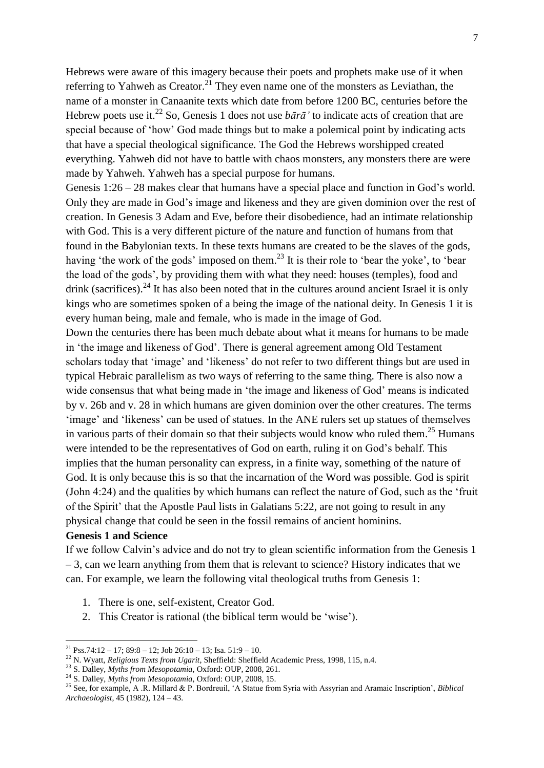Hebrews were aware of this imagery because their poets and prophets make use of it when referring to Yahweh as Creator.<sup>21</sup> They even name one of the monsters as Leviathan, the name of a monster in Canaanite texts which date from before 1200 BC, centuries before the Hebrew poets use it.<sup>22</sup> So, Genesis 1 does not use  $b\bar{a}r\bar{a}'$  to indicate acts of creation that are special because of "how" God made things but to make a polemical point by indicating acts that have a special theological significance. The God the Hebrews worshipped created everything. Yahweh did not have to battle with chaos monsters, any monsters there are were made by Yahweh. Yahweh has a special purpose for humans.

Genesis 1:26 – 28 makes clear that humans have a special place and function in God's world. Only they are made in God"s image and likeness and they are given dominion over the rest of creation. In Genesis 3 Adam and Eve, before their disobedience, had an intimate relationship with God. This is a very different picture of the nature and function of humans from that found in the Babylonian texts. In these texts humans are created to be the slaves of the gods, having 'the work of the gods' imposed on them.<sup>23</sup> It is their role to 'bear the yoke', to 'bear the load of the gods", by providing them with what they need: houses (temples), food and drink (sacrifices).<sup>24</sup> It has also been noted that in the cultures around ancient Israel it is only kings who are sometimes spoken of a being the image of the national deity. In Genesis 1 it is every human being, male and female, who is made in the image of God.

Down the centuries there has been much debate about what it means for humans to be made in "the image and likeness of God". There is general agreement among Old Testament scholars today that 'image' and 'likeness' do not refer to two different things but are used in typical Hebraic parallelism as two ways of referring to the same thing. There is also now a wide consensus that what being made in 'the image and likeness of God' means is indicated by v. 26b and v. 28 in which humans are given dominion over the other creatures. The terms 'image' and 'likeness' can be used of statues. In the ANE rulers set up statues of themselves in various parts of their domain so that their subjects would know who ruled them.<sup>25</sup> Humans were intended to be the representatives of God on earth, ruling it on God"s behalf. This implies that the human personality can express, in a finite way, something of the nature of God. It is only because this is so that the incarnation of the Word was possible. God is spirit (John 4:24) and the qualities by which humans can reflect the nature of God, such as the "fruit of the Spirit' that the Apostle Paul lists in Galatians 5:22, are not going to result in any physical change that could be seen in the fossil remains of ancient hominins.

# **Genesis 1 and Science**

-

If we follow Calvin"s advice and do not try to glean scientific information from the Genesis 1 – 3, can we learn anything from them that is relevant to science? History indicates that we can. For example, we learn the following vital theological truths from Genesis 1:

- 1. There is one, self-existent, Creator God.
- 2. This Creator is rational (the biblical term would be "wise").

 $^{21}$  Pss.74:12 – 17; 89:8 – 12; Job 26:10 – 13; Isa. 51:9 – 10.

<sup>22</sup> N. Wyatt, *Religious Texts from Ugarit*, Sheffield: Sheffield Academic Press, 1998, 115, n.4.

<sup>23</sup> S. Dalley, *Myths from Mesopotamia*, Oxford: OUP, 2008, 261.

<sup>24</sup> S. Dalley, *Myths from Mesopotamia*, Oxford: OUP, 2008, 15.

<sup>25</sup> See, for example, A .R. Millard & P. Bordreuil, "A Statue from Syria with Assyrian and Aramaic Inscription", *Biblical Archaeologist*, 45 (1982), 124 – 43.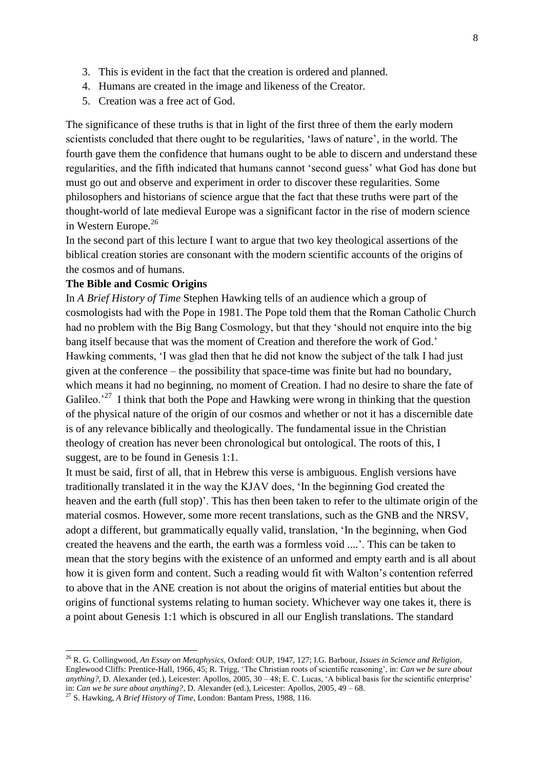- 3. This is evident in the fact that the creation is ordered and planned.
- 4. Humans are created in the image and likeness of the Creator.
- 5. Creation was a free act of God.

The significance of these truths is that in light of the first three of them the early modern scientists concluded that there ought to be regularities, 'laws of nature', in the world. The fourth gave them the confidence that humans ought to be able to discern and understand these regularities, and the fifth indicated that humans cannot "second guess" what God has done but must go out and observe and experiment in order to discover these regularities. Some philosophers and historians of science argue that the fact that these truths were part of the thought-world of late medieval Europe was a significant factor in the rise of modern science in Western Europe.<sup>26</sup>

In the second part of this lecture I want to argue that two key theological assertions of the biblical creation stories are consonant with the modern scientific accounts of the origins of the cosmos and of humans.

## **The Bible and Cosmic Origins**

In *A Brief History of Time* Stephen Hawking tells of an audience which a group of cosmologists had with the Pope in 1981. The Pope told them that the Roman Catholic Church had no problem with the Big Bang Cosmology, but that they "should not enquire into the big bang itself because that was the moment of Creation and therefore the work of God." Hawking comments, "I was glad then that he did not know the subject of the talk I had just given at the conference – the possibility that space-time was finite but had no boundary, which means it had no beginning, no moment of Creation. I had no desire to share the fate of Galileo.<sup>27</sup> I think that both the Pope and Hawking were wrong in thinking that the question of the physical nature of the origin of our cosmos and whether or not it has a discernible date is of any relevance biblically and theologically. The fundamental issue in the Christian theology of creation has never been chronological but ontological. The roots of this, I suggest, are to be found in Genesis 1:1.

It must be said, first of all, that in Hebrew this verse is ambiguous. English versions have traditionally translated it in the way the KJAV does, "In the beginning God created the heaven and the earth (full stop)'. This has then been taken to refer to the ultimate origin of the material cosmos. However, some more recent translations, such as the GNB and the NRSV, adopt a different, but grammatically equally valid, translation, "In the beginning, when God created the heavens and the earth, the earth was a formless void ....'. This can be taken to mean that the story begins with the existence of an unformed and empty earth and is all about how it is given form and content. Such a reading would fit with Walton"s contention referred to above that in the ANE creation is not about the origins of material entities but about the origins of functional systems relating to human society. Whichever way one takes it, there is a point about Genesis 1:1 which is obscured in all our English translations. The standard

<sup>26</sup> R. G. Collingwood, *An Essay on Metaphysics*, Oxford: OUP, 1947, 127; I.G. Barbour, *Issues in Science and Religion*, Englewood Cliffs: Prentice-Hall, 1966, 45; R. Trigg, "The Christian roots of scientific reasoning", in: *Can we be sure about anything?*, D. Alexander (ed.), Leicester: Apollos, 2005, 30 – 48; E. C. Lucas, 'A biblical basis for the scientific enterprise' in: *Can we be sure about anything?*, D. Alexander (ed.), Leicester: Apollos, 2005, 49 – 68.

<sup>27</sup> S. Hawking, *A Brief History of Time*, London: Bantam Press, 1988, 116.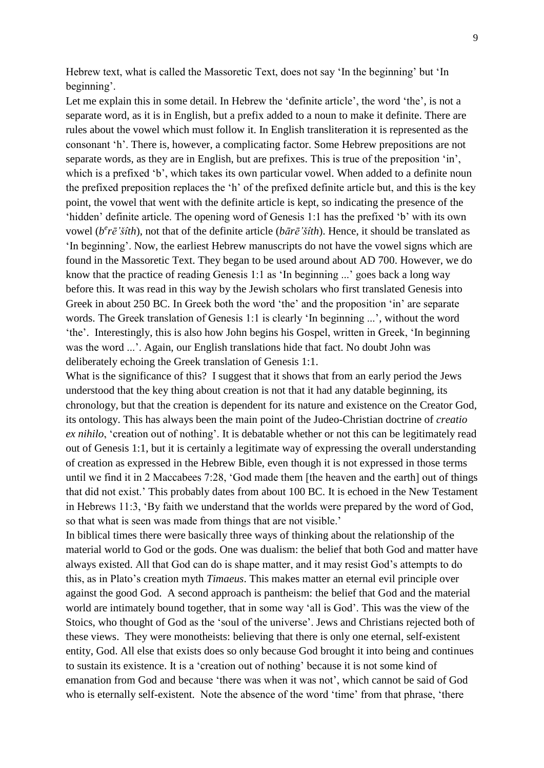Hebrew text, what is called the Massoretic Text, does not say "In the beginning" but "In beginning'.

Let me explain this in some detail. In Hebrew the 'definite article', the word 'the', is not a separate word, as it is in English, but a prefix added to a noun to make it definite. There are rules about the vowel which must follow it. In English transliteration it is represented as the consonant "h". There is, however, a complicating factor. Some Hebrew prepositions are not separate words, as they are in English, but are prefixes. This is true of the preposition 'in', which is a prefixed 'b', which takes its own particular vowel. When added to a definite noun the prefixed preposition replaces the "h" of the prefixed definite article but, and this is the key point, the vowel that went with the definite article is kept, so indicating the presence of the "hidden" definite article. The opening word of Genesis 1:1 has the prefixed "b" with its own vowel ( $b^e r\bar{e}$ 'šîth), not that of the definite article ( $b\bar{a}r\bar{e}$ 'šîth). Hence, it should be translated as "In beginning". Now, the earliest Hebrew manuscripts do not have the vowel signs which are found in the Massoretic Text. They began to be used around about AD 700. However, we do know that the practice of reading Genesis 1:1 as "In beginning ..." goes back a long way before this. It was read in this way by the Jewish scholars who first translated Genesis into Greek in about 250 BC. In Greek both the word 'the' and the proposition 'in' are separate words. The Greek translation of Genesis 1:1 is clearly "In beginning ...", without the word "the". Interestingly, this is also how John begins his Gospel, written in Greek, "In beginning was the word ...'. Again, our English translations hide that fact. No doubt John was deliberately echoing the Greek translation of Genesis 1:1.

What is the significance of this? I suggest that it shows that from an early period the Jews understood that the key thing about creation is not that it had any datable beginning, its chronology, but that the creation is dependent for its nature and existence on the Creator God, its ontology. This has always been the main point of the Judeo-Christian doctrine of *creatio ex nihilo*, "creation out of nothing". It is debatable whether or not this can be legitimately read out of Genesis 1:1, but it is certainly a legitimate way of expressing the overall understanding of creation as expressed in the Hebrew Bible, even though it is not expressed in those terms until we find it in 2 Maccabees 7:28, "God made them [the heaven and the earth] out of things that did not exist." This probably dates from about 100 BC. It is echoed in the New Testament in Hebrews 11:3, "By faith we understand that the worlds were prepared by the word of God, so that what is seen was made from things that are not visible.'

In biblical times there were basically three ways of thinking about the relationship of the material world to God or the gods. One was dualism: the belief that both God and matter have always existed. All that God can do is shape matter, and it may resist God"s attempts to do this, as in Plato"s creation myth *Timaeus*. This makes matter an eternal evil principle over against the good God. A second approach is pantheism: the belief that God and the material world are intimately bound together, that in some way "all is God". This was the view of the Stoics, who thought of God as the 'soul of the universe'. Jews and Christians rejected both of these views. They were monotheists: believing that there is only one eternal, self-existent entity, God. All else that exists does so only because God brought it into being and continues to sustain its existence. It is a "creation out of nothing" because it is not some kind of emanation from God and because "there was when it was not", which cannot be said of God who is eternally self-existent. Note the absence of the word 'time' from that phrase, 'there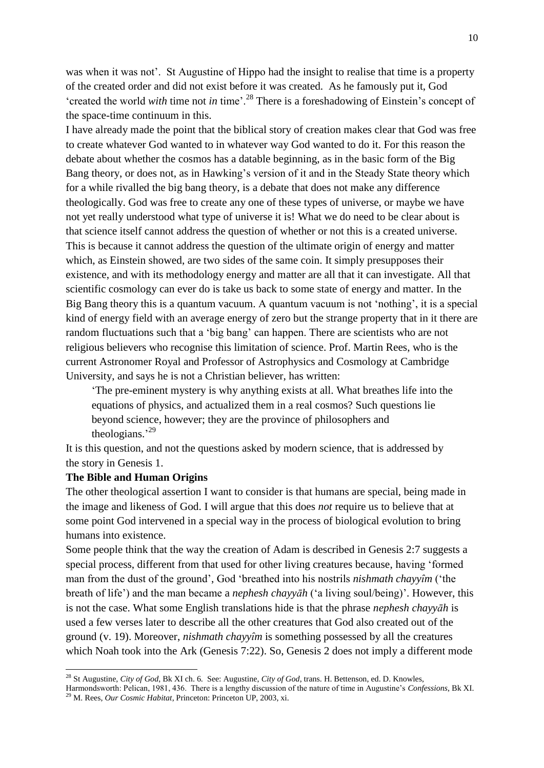was when it was not'. St Augustine of Hippo had the insight to realise that time is a property of the created order and did not exist before it was created. As he famously put it, God 'created the world *with* time not *in* time'.<sup>28</sup> There is a foreshadowing of Einstein's concept of the space-time continuum in this.

I have already made the point that the biblical story of creation makes clear that God was free to create whatever God wanted to in whatever way God wanted to do it. For this reason the debate about whether the cosmos has a datable beginning, as in the basic form of the Big Bang theory, or does not, as in Hawking's version of it and in the Steady State theory which for a while rivalled the big bang theory, is a debate that does not make any difference theologically. God was free to create any one of these types of universe, or maybe we have not yet really understood what type of universe it is! What we do need to be clear about is that science itself cannot address the question of whether or not this is a created universe. This is because it cannot address the question of the ultimate origin of energy and matter which, as Einstein showed, are two sides of the same coin. It simply presupposes their existence, and with its methodology energy and matter are all that it can investigate. All that scientific cosmology can ever do is take us back to some state of energy and matter. In the Big Bang theory this is a quantum vacuum. A quantum vacuum is not 'nothing', it is a special kind of energy field with an average energy of zero but the strange property that in it there are random fluctuations such that a "big bang" can happen. There are scientists who are not religious believers who recognise this limitation of science. Prof. Martin Rees, who is the current Astronomer Royal and Professor of Astrophysics and Cosmology at Cambridge University, and says he is not a Christian believer, has written:

"The pre-eminent mystery is why anything exists at all. What breathes life into the equations of physics, and actualized them in a real cosmos? Such questions lie beyond science, however; they are the province of philosophers and theologians. $^{29}$ 

It is this question, and not the questions asked by modern science, that is addressed by the story in Genesis 1.

#### **The Bible and Human Origins**

-

The other theological assertion I want to consider is that humans are special, being made in the image and likeness of God. I will argue that this does *not* require us to believe that at some point God intervened in a special way in the process of biological evolution to bring humans into existence.

Some people think that the way the creation of Adam is described in Genesis 2:7 suggests a special process, different from that used for other living creatures because, having "formed man from the dust of the ground', God 'breathed into his nostrils *nishmath chayyîm* ('the breath of life") and the man became a *nephesh chayyāh* ("a living soul/being)". However, this is not the case. What some English translations hide is that the phrase *nephesh chayyāh* is used a few verses later to describe all the other creatures that God also created out of the ground (v. 19). Moreover, *nishmath chayyȋm* is something possessed by all the creatures which Noah took into the Ark (Genesis 7:22). So, Genesis 2 does not imply a different mode

Harmondsworth: Pelican, 1981, 436. There is a lengthy discussion of the nature of time in Augustine"s *Confessions*, Bk XI. <sup>29</sup> M. Rees, *Our Cosmic Habitat*, Princeton: Princeton UP, 2003, xi.

<sup>28</sup> St Augustine, *City of God*, Bk XI ch. 6. See: Augustine, *City of God*, trans. H. Bettenson, ed. D. Knowles,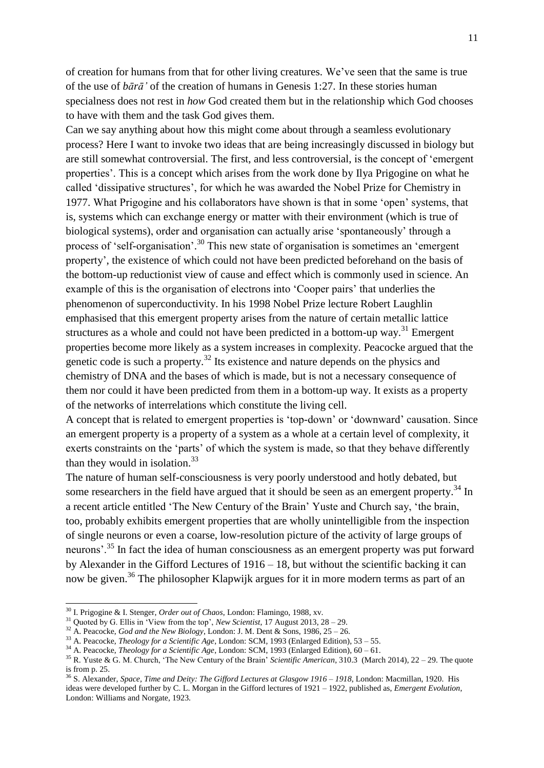of creation for humans from that for other living creatures. We"ve seen that the same is true of the use of *bārā'* of the creation of humans in Genesis 1:27. In these stories human specialness does not rest in *how* God created them but in the relationship which God chooses to have with them and the task God gives them.

Can we say anything about how this might come about through a seamless evolutionary process? Here I want to invoke two ideas that are being increasingly discussed in biology but are still somewhat controversial. The first, and less controversial, is the concept of "emergent properties". This is a concept which arises from the work done by Ilya Prigogine on what he called "dissipative structures", for which he was awarded the Nobel Prize for Chemistry in 1977. What Prigogine and his collaborators have shown is that in some "open" systems, that is, systems which can exchange energy or matter with their environment (which is true of biological systems), order and organisation can actually arise "spontaneously" through a process of 'self-organisation'.<sup>30</sup> This new state of organisation is sometimes an 'emergent property", the existence of which could not have been predicted beforehand on the basis of the bottom-up reductionist view of cause and effect which is commonly used in science. An example of this is the organisation of electrons into "Cooper pairs" that underlies the phenomenon of superconductivity. In his 1998 Nobel Prize lecture Robert Laughlin emphasised that this emergent property arises from the nature of certain metallic lattice structures as a whole and could not have been predicted in a bottom-up way.<sup>31</sup> Emergent properties become more likely as a system increases in complexity. Peacocke argued that the genetic code is such a property.<sup>32</sup> Its existence and nature depends on the physics and chemistry of DNA and the bases of which is made, but is not a necessary consequence of them nor could it have been predicted from them in a bottom-up way. It exists as a property of the networks of interrelations which constitute the living cell.

A concept that is related to emergent properties is "top-down" or "downward" causation. Since an emergent property is a property of a system as a whole at a certain level of complexity, it exerts constraints on the 'parts' of which the system is made, so that they behave differently than they would in isolation.<sup>33</sup>

The nature of human self-consciousness is very poorly understood and hotly debated, but some researchers in the field have argued that it should be seen as an emergent property.<sup>34</sup> In a recent article entitled "The New Century of the Brain" Yuste and Church say, "the brain, too, probably exhibits emergent properties that are wholly unintelligible from the inspection of single neurons or even a coarse, low-resolution picture of the activity of large groups of neurons'.<sup>35</sup> In fact the idea of human consciousness as an emergent property was put forward by Alexander in the Gifford Lectures of 1916 – 18, but without the scientific backing it can now be given.<sup>36</sup> The philosopher Klapwijk argues for it in more modern terms as part of an

<sup>30</sup> I. Prigogine & I. Stenger, *Order out of Chaos*, London: Flamingo, 1988, xv.

<sup>31</sup> Quoted by G. Ellis in "View from the top", *New Scientist*, 17 August 2013, 28 – 29.

<sup>32</sup> A. Peacocke, *God and the New Biology*, London: J. M. Dent & Sons, 1986, 25 – 26.

<sup>&</sup>lt;sup>33</sup> A. Peacocke, *Theology for a Scientific Age*, London: SCM, 1993 (Enlarged Edition), 53 – 55.

<sup>34</sup> A. Peacocke, *Theology for a Scientific Age*, London: SCM, 1993 (Enlarged Edition), 60 – 61.

<sup>35</sup> R. Yuste & G. M. Church, "The New Century of the Brain" *Scientific American*, 310.3 (March 2014), 22 – 29. The quote is from p. 25.

<sup>36</sup> S. Alexander, *Space, Time and Deity: The Gifford Lectures at Glasgow 1916 – 1918*, London: Macmillan, 1920. His ideas were developed further by C. L. Morgan in the Gifford lectures of 1921 – 1922, published as, *Emergent Evolution*, London: Williams and Norgate, 1923.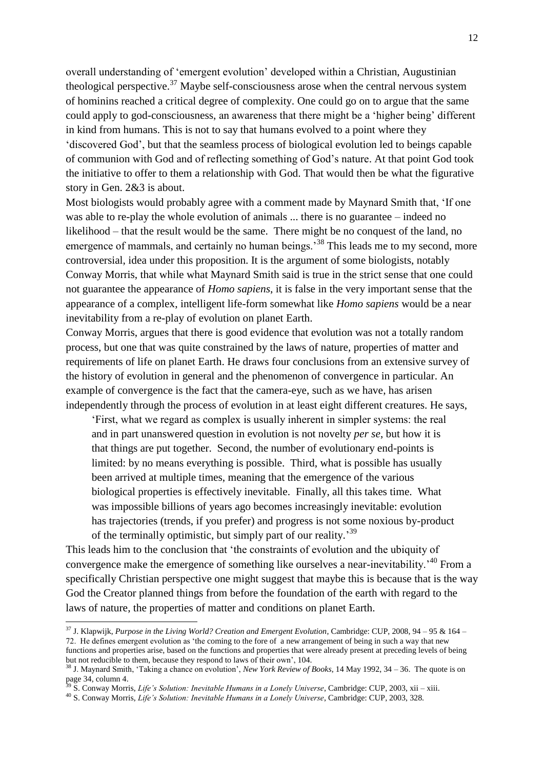overall understanding of "emergent evolution" developed within a Christian, Augustinian theological perspective.<sup>37</sup> Maybe self-consciousness arose when the central nervous system of hominins reached a critical degree of complexity. One could go on to argue that the same could apply to god-consciousness, an awareness that there might be a "higher being" different in kind from humans. This is not to say that humans evolved to a point where they "discovered God", but that the seamless process of biological evolution led to beings capable of communion with God and of reflecting something of God"s nature. At that point God took the initiative to offer to them a relationship with God. That would then be what the figurative story in Gen. 2&3 is about.

Most biologists would probably agree with a comment made by Maynard Smith that, "If one was able to re-play the whole evolution of animals ... there is no guarantee – indeed no likelihood – that the result would be the same. There might be no conquest of the land, no emergence of mammals, and certainly no human beings.<sup>38</sup> This leads me to my second, more controversial, idea under this proposition. It is the argument of some biologists, notably Conway Morris, that while what Maynard Smith said is true in the strict sense that one could not guarantee the appearance of *Homo sapiens*, it is false in the very important sense that the appearance of a complex, intelligent life-form somewhat like *Homo sapiens* would be a near inevitability from a re-play of evolution on planet Earth.

Conway Morris, argues that there is good evidence that evolution was not a totally random process, but one that was quite constrained by the laws of nature, properties of matter and requirements of life on planet Earth. He draws four conclusions from an extensive survey of the history of evolution in general and the phenomenon of convergence in particular. An example of convergence is the fact that the camera-eye, such as we have, has arisen independently through the process of evolution in at least eight different creatures. He says,

"First, what we regard as complex is usually inherent in simpler systems: the real and in part unanswered question in evolution is not novelty *per se*, but how it is that things are put together. Second, the number of evolutionary end-points is limited: by no means everything is possible. Third, what is possible has usually been arrived at multiple times, meaning that the emergence of the various biological properties is effectively inevitable. Finally, all this takes time. What was impossible billions of years ago becomes increasingly inevitable: evolution has trajectories (trends, if you prefer) and progress is not some noxious by-product of the terminally optimistic, but simply part of our reality.<sup>39</sup>

This leads him to the conclusion that "the constraints of evolution and the ubiquity of convergence make the emergence of something like ourselves a near-inevitability.<sup>40</sup> From a specifically Christian perspective one might suggest that maybe this is because that is the way God the Creator planned things from before the foundation of the earth with regard to the laws of nature, the properties of matter and conditions on planet Earth.

<sup>37</sup> J. Klapwijk, *Purpose in the Living World? Creation and Emergent Evolution*, Cambridge: CUP, 2008, 94 – 95 & 164 – 72. He defines emergent evolution as "the coming to the fore of a new arrangement of being in such a way that new functions and properties arise, based on the functions and properties that were already present at preceding levels of being but not reducible to them, because they respond to laws of their own", 104.

<sup>38</sup> J. Maynard Smith, "Taking a chance on evolution", *New York Review of Books*, 14 May 1992, 34 – 36. The quote is on  $_{29}$  page 34, column 4.

<sup>39</sup> S. Conway Morris, *Life's Solution: Inevitable Humans in a Lonely Universe*, Cambridge: CUP, 2003, xii – xiii.

<sup>40</sup> S. Conway Morris, *Life's Solution: Inevitable Humans in a Lonely Universe*, Cambridge: CUP, 2003, 328.